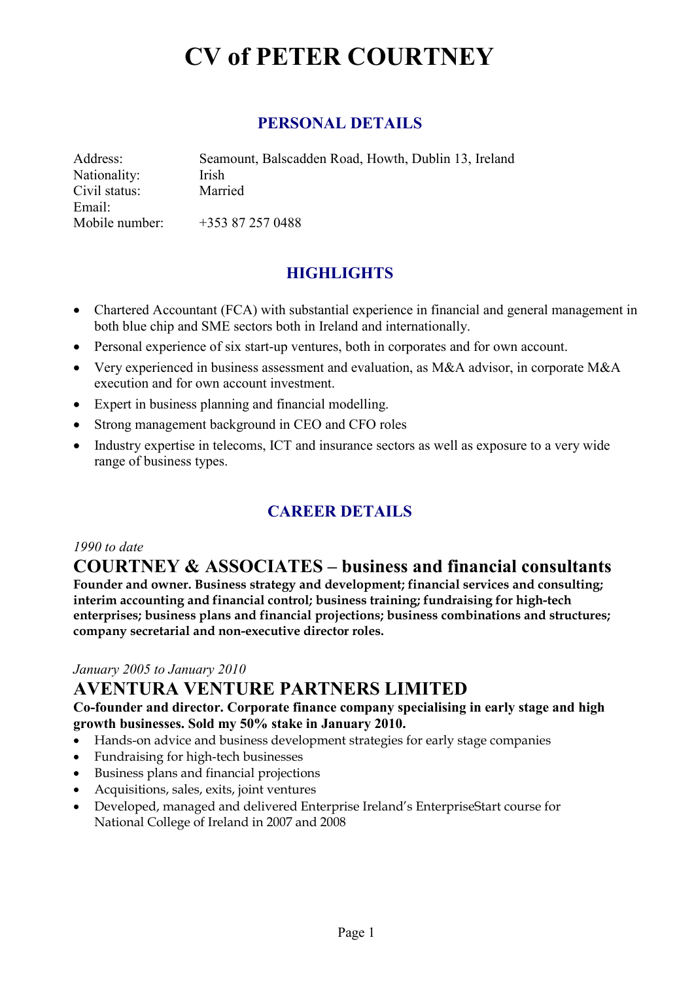### **PERSONAL DETAILS**

| Address:       | Seamount, Balscadden Road, Howth, Dublin 13, Ireland |
|----------------|------------------------------------------------------|
| Nationality:   | Irish                                                |
| Civil status:  | Married                                              |
| Email:         |                                                      |
| Mobile number: | $+353872570488$                                      |

## **HIGHLIGHTS**

- Chartered Accountant (FCA) with substantial experience in financial and general management in both blue chip and SME sectors both in Ireland and internationally.
- Personal experience of six start-up ventures, both in corporates and for own account.
- Very experienced in business assessment and evaluation, as M&A advisor, in corporate M&A execution and for own account investment.
- Expert in business planning and financial modelling.
- Strong management background in CEO and CFO roles
- Industry expertise in telecoms, ICT and insurance sectors as well as exposure to a very wide range of business types.

## **CAREER DETAILS**

#### *1990 to date*

## **COURTNEY & ASSOCIATES – business and financial consultants**

**Founder and owner. Business strategy and development; financial services and consulting; interim accounting and financial control; business training; fundraising for high-tech enterprises; business plans and financial projections; business combinations and structures; company secretarial and non-executive director roles.** 

#### *January 2005 to January 2010*

## **AVENTURA VENTURE PARTNERS LIMITED**

#### **Co-founder and director. Corporate finance company specialising in early stage and high growth businesses. Sold my 50% stake in January 2010.**

- Hands-on advice and business development strategies for early stage companies
- Fundraising for high-tech businesses
- Business plans and financial projections
- Acquisitions, sales, exits, joint ventures
- Developed, managed and delivered Enterprise Ireland's EnterpriseStart course for National College of Ireland in 2007 and 2008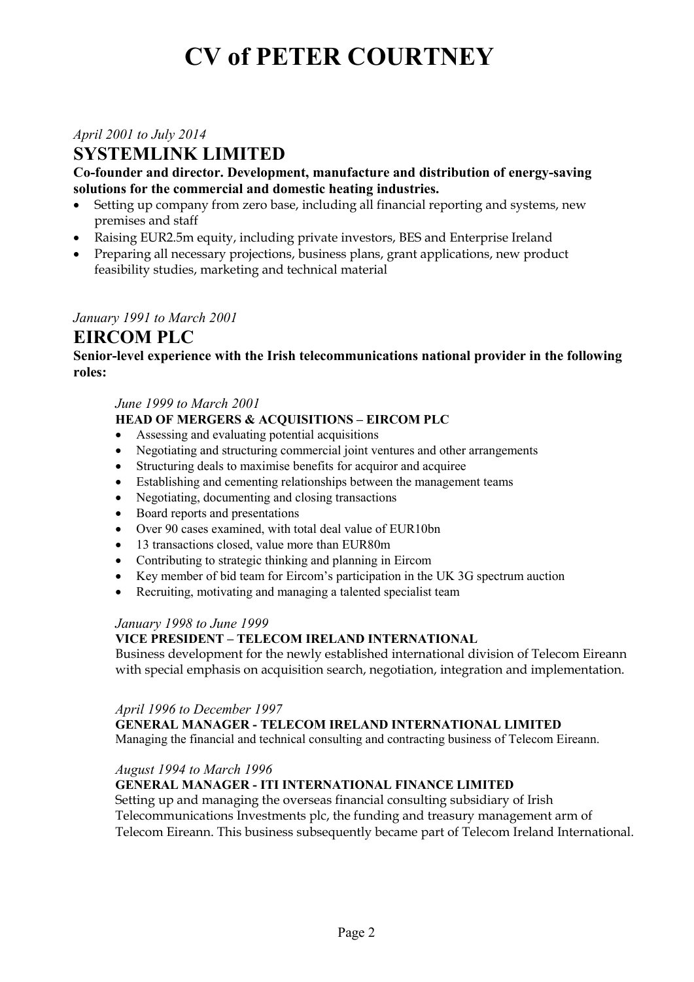*April 2001 to July 2014* 

## **SYSTEMLINK LIMITED**

**Co-founder and director. Development, manufacture and distribution of energy-saving solutions for the commercial and domestic heating industries.** 

- Setting up company from zero base, including all financial reporting and systems, new premises and staff
- Raising EUR2.5m equity, including private investors, BES and Enterprise Ireland
- Preparing all necessary projections, business plans, grant applications, new product feasibility studies, marketing and technical material

#### *January 1991 to March 2001*

### **EIRCOM PLC**

**Senior-level experience with the Irish telecommunications national provider in the following roles:** 

#### *June 1999 to March 2001*

#### **HEAD OF MERGERS & ACQUISITIONS – EIRCOM PLC**

- Assessing and evaluating potential acquisitions
- Negotiating and structuring commercial joint ventures and other arrangements
- Structuring deals to maximise benefits for acquiror and acquiree
- Establishing and cementing relationships between the management teams
- Negotiating, documenting and closing transactions
- Board reports and presentations
- Over 90 cases examined, with total deal value of EUR10bn
- 13 transactions closed, value more than EUR80m
- Contributing to strategic thinking and planning in Eircom
- Key member of bid team for Eircom's participation in the UK 3G spectrum auction
- Recruiting, motivating and managing a talented specialist team

#### *January 1998 to June 1999*

#### **VICE PRESIDENT – TELECOM IRELAND INTERNATIONAL**

Business development for the newly established international division of Telecom Eireann with special emphasis on acquisition search, negotiation, integration and implementation.

#### *April 1996 to December 1997*

**GENERAL MANAGER - TELECOM IRELAND INTERNATIONAL LIMITED** 

Managing the financial and technical consulting and contracting business of Telecom Eireann.

#### *August 1994 to March 1996*

#### **GENERAL MANAGER - ITI INTERNATIONAL FINANCE LIMITED**

Setting up and managing the overseas financial consulting subsidiary of Irish Telecommunications Investments plc, the funding and treasury management arm of Telecom Eireann. This business subsequently became part of Telecom Ireland International.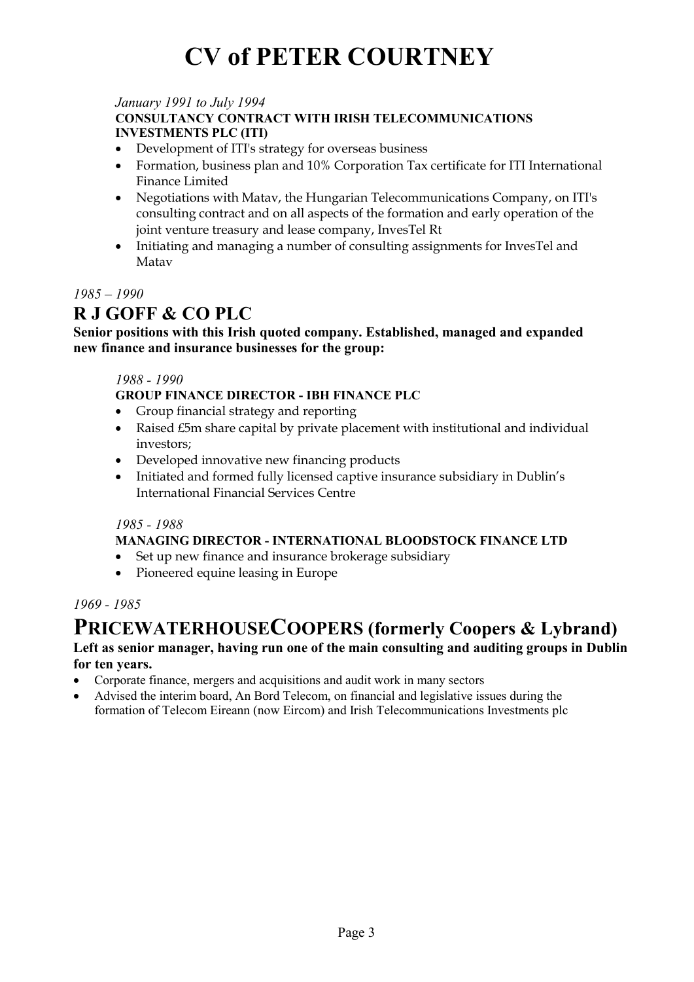#### *January 1991 to July 1994*

#### **CONSULTANCY CONTRACT WITH IRISH TELECOMMUNICATIONS INVESTMENTS PLC (ITI)**

- Development of ITI's strategy for overseas business
- Formation, business plan and 10% Corporation Tax certificate for ITI International Finance Limited
- Negotiations with Matav, the Hungarian Telecommunications Company, on ITI's consulting contract and on all aspects of the formation and early operation of the joint venture treasury and lease company, InvesTel Rt
- Initiating and managing a number of consulting assignments for InvesTel and Matav

#### *1985 – 1990*

## **R J GOFF & CO PLC**

#### **Senior positions with this Irish quoted company. Established, managed and expanded new finance and insurance businesses for the group:**

#### *1988 - 1990*

**GROUP FINANCE DIRECTOR - IBH FINANCE PLC** 

- Group financial strategy and reporting
- Raised £5m share capital by private placement with institutional and individual investors;
- Developed innovative new financing products
- Initiated and formed fully licensed captive insurance subsidiary in Dublin's International Financial Services Centre

#### *1985 - 1988*

#### **MANAGING DIRECTOR - INTERNATIONAL BLOODSTOCK FINANCE LTD**

- Set up new finance and insurance brokerage subsidiary
- Pioneered equine leasing in Europe

#### *1969 - 1985*

# **PRICEWATERHOUSECOOPERS (formerly Coopers & Lybrand)**

#### **Left as senior manager, having run one of the main consulting and auditing groups in Dublin for ten years.**

- Corporate finance, mergers and acquisitions and audit work in many sectors
- Advised the interim board, An Bord Telecom, on financial and legislative issues during the formation of Telecom Eireann (now Eircom) and Irish Telecommunications Investments plc